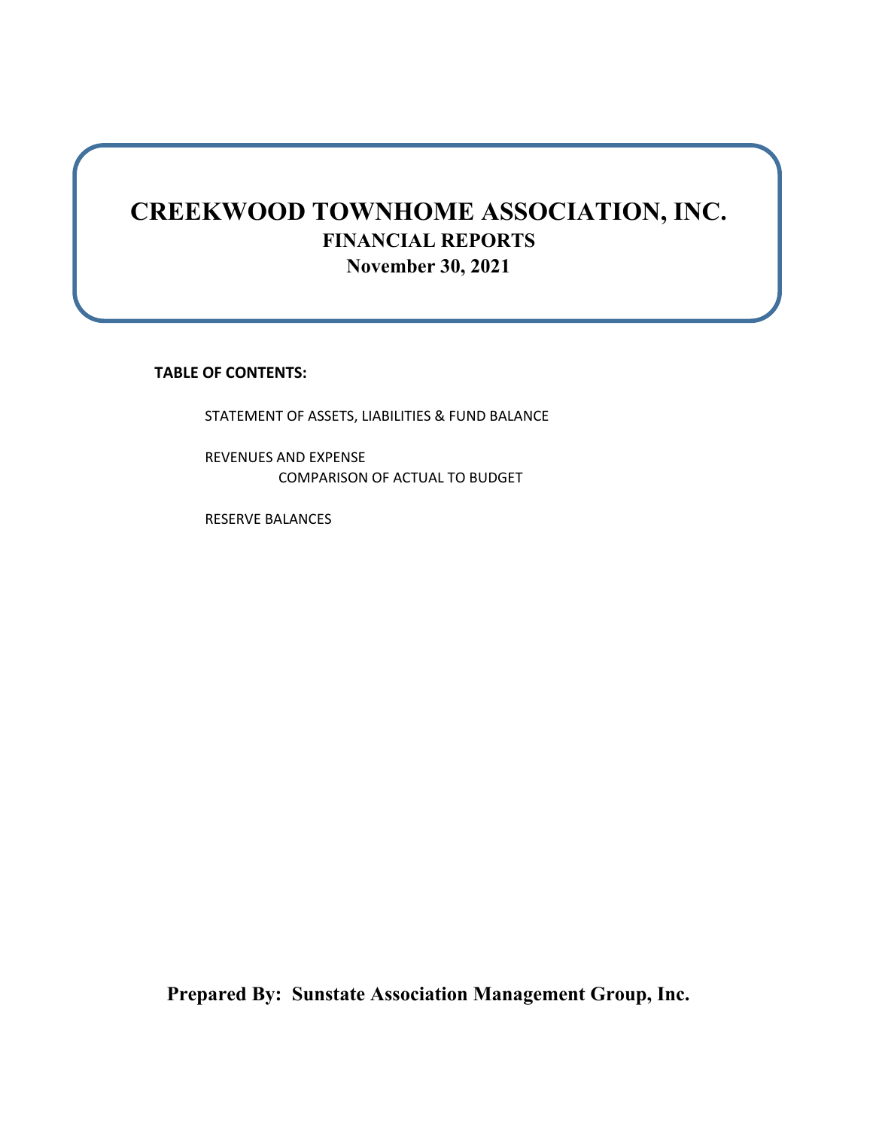## **CREEKWOOD TOWNHOME ASSOCIATION, INC. FINANCIAL REPORTS November 30, 2021**

**TABLE OF CONTENTS:**

STATEMENT OF ASSETS, LIABILITIES & FUND BALANCE

REVENUES AND EXPENSE COMPARISON OF ACTUAL TO BUDGET

RESERVE BALANCES

**Prepared By: Sunstate Association Management Group, Inc.**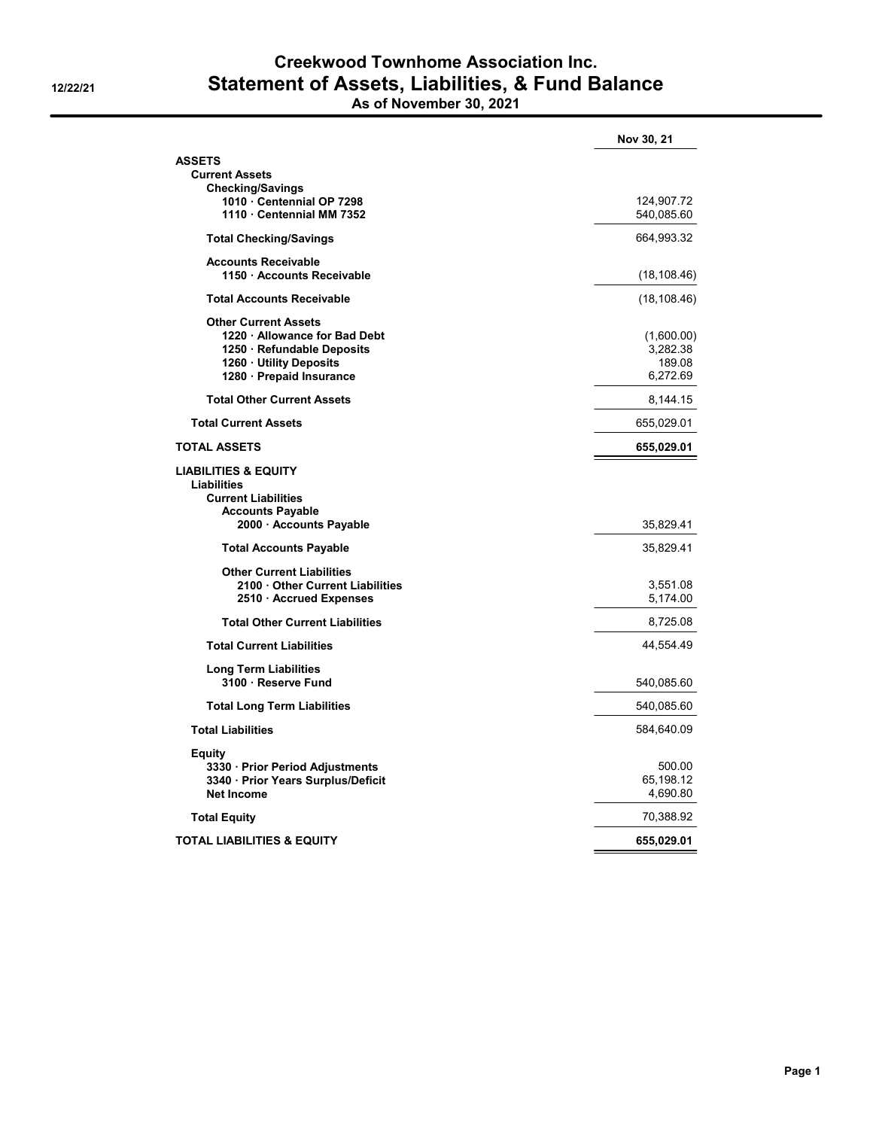## **Creekwood Townhome Association Inc. 12/22/21 Statement of Assets, Liabilities, & Fund Balance As of November 30, 2021**

|                                                                                                                                                 | Nov 30, 21                                   |
|-------------------------------------------------------------------------------------------------------------------------------------------------|----------------------------------------------|
| <b>ASSETS</b>                                                                                                                                   |                                              |
| <b>Current Assets</b>                                                                                                                           |                                              |
| <b>Checking/Savings</b><br>1010 Centennial OP 7298                                                                                              | 124,907.72                                   |
| 1110 Centennial MM 7352                                                                                                                         | 540,085.60                                   |
| <b>Total Checking/Savings</b>                                                                                                                   | 664,993.32                                   |
| <b>Accounts Receivable</b><br>1150 Accounts Receivable                                                                                          | (18, 108.46)                                 |
| <b>Total Accounts Receivable</b>                                                                                                                | (18, 108.46)                                 |
| <b>Other Current Assets</b><br>1220 Allowance for Bad Debt<br>1250 · Refundable Deposits<br>1260 · Utility Deposits<br>1280 - Prepaid Insurance | (1,600.00)<br>3,282.38<br>189.08<br>6,272.69 |
| <b>Total Other Current Assets</b>                                                                                                               | 8,144.15                                     |
| <b>Total Current Assets</b>                                                                                                                     | 655,029.01                                   |
| <b>TOTAL ASSETS</b>                                                                                                                             | 655,029.01                                   |
| <b>LIABILITIES &amp; EQUITY</b><br><b>Liabilities</b><br><b>Current Liabilities</b><br><b>Accounts Payable</b><br>2000 Accounts Payable         | 35,829.41                                    |
| <b>Total Accounts Payable</b>                                                                                                                   | 35,829.41                                    |
| <b>Other Current Liabilities</b><br>2100 Other Current Liabilities<br>2510 · Accrued Expenses                                                   | 3,551.08<br>5,174.00                         |
| <b>Total Other Current Liabilities</b>                                                                                                          | 8,725.08                                     |
| <b>Total Current Liabilities</b>                                                                                                                | 44,554.49                                    |
| <b>Long Term Liabilities</b><br>3100 · Reserve Fund                                                                                             | 540,085.60                                   |
| <b>Total Long Term Liabilities</b>                                                                                                              | 540,085.60                                   |
| <b>Total Liabilities</b>                                                                                                                        | 584,640.09                                   |
| Equity<br>3330 · Prior Period Adjustments<br>3340 · Prior Years Surplus/Deficit<br><b>Net Income</b>                                            | 500.00<br>65,198.12<br>4,690.80              |
| <b>Total Equity</b>                                                                                                                             | 70,388.92                                    |
| <b>TOTAL LIABILITIES &amp; EQUITY</b>                                                                                                           | 655,029.01                                   |
|                                                                                                                                                 |                                              |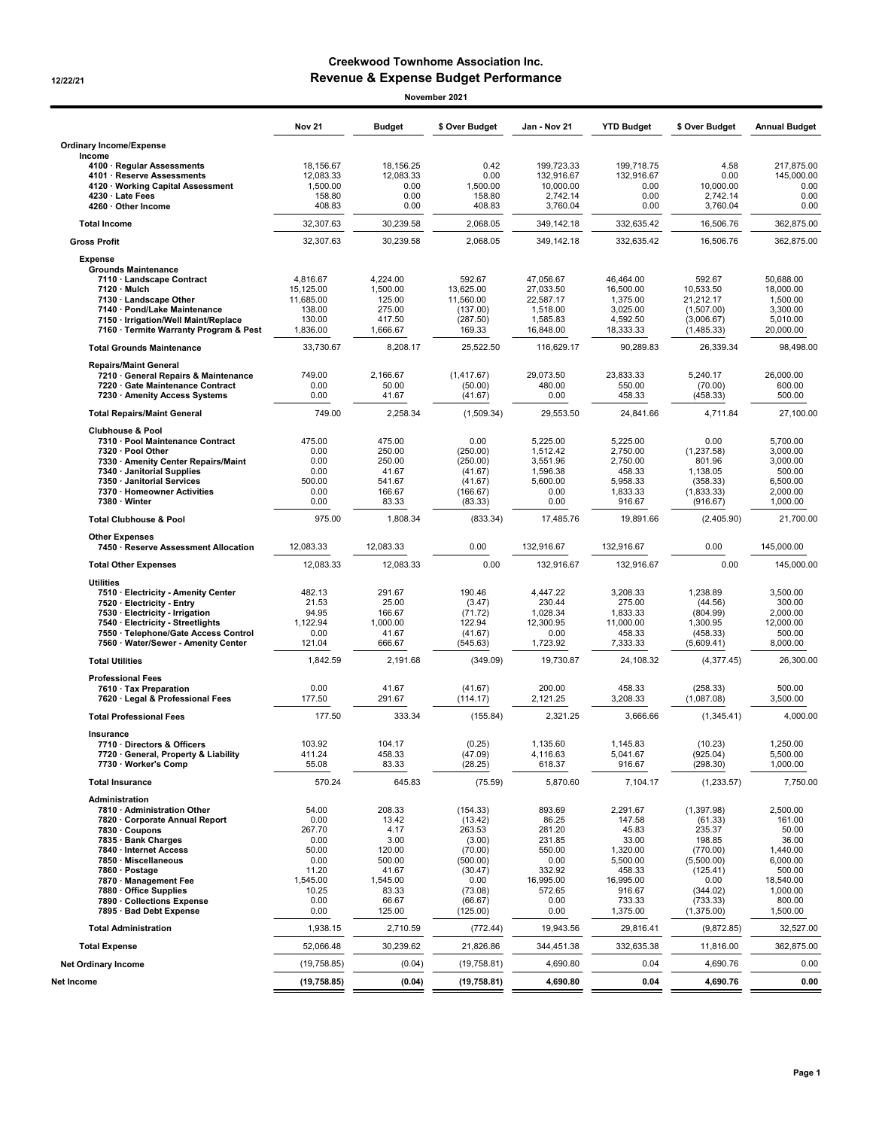## **Creekwood Townhome Association Inc. 12/22/21 Revenue & Expense Budget Performance**

| November 2021                                                                                                                                                                                                                                                                                            |                                                                                                |                                                                                                      |                                                                                                                     |                                                                                                        |                                                                                                                     |                                                                                                                                |                                                                                                                       |
|----------------------------------------------------------------------------------------------------------------------------------------------------------------------------------------------------------------------------------------------------------------------------------------------------------|------------------------------------------------------------------------------------------------|------------------------------------------------------------------------------------------------------|---------------------------------------------------------------------------------------------------------------------|--------------------------------------------------------------------------------------------------------|---------------------------------------------------------------------------------------------------------------------|--------------------------------------------------------------------------------------------------------------------------------|-----------------------------------------------------------------------------------------------------------------------|
|                                                                                                                                                                                                                                                                                                          | <b>Nov 21</b>                                                                                  | <b>Budget</b>                                                                                        | \$ Over Budget                                                                                                      | Jan - Nov 21                                                                                           | <b>YTD Budget</b>                                                                                                   | \$ Over Budget                                                                                                                 | <b>Annual Budget</b>                                                                                                  |
| <b>Ordinary Income/Expense</b>                                                                                                                                                                                                                                                                           |                                                                                                |                                                                                                      |                                                                                                                     |                                                                                                        |                                                                                                                     |                                                                                                                                |                                                                                                                       |
| Income<br>4100 · Regular Assessments<br>4101 · Reserve Assessments<br>4120 · Working Capital Assessment<br>4230 · Late Fees<br>4260 · Other Income                                                                                                                                                       | 18,156.67<br>12,083.33<br>1,500.00<br>158.80<br>408.83                                         | 18,156.25<br>12,083.33<br>0.00<br>0.00<br>0.00                                                       | 0.42<br>0.00<br>1,500.00<br>158.80<br>408.83                                                                        | 199,723.33<br>132,916.67<br>10.000.00<br>2,742.14<br>3,760.04                                          | 199,718.75<br>132,916.67<br>0.00<br>0.00<br>0.00                                                                    | 4.58<br>0.00<br>10,000.00<br>2,742.14<br>3,760.04                                                                              | 217,875.00<br>145,000.00<br>0.00<br>0.00<br>0.00                                                                      |
| <b>Total Income</b>                                                                                                                                                                                                                                                                                      | 32,307.63                                                                                      | 30,239.58                                                                                            | 2,068.05                                                                                                            | 349,142.18                                                                                             | 332,635.42                                                                                                          | 16,506.76                                                                                                                      | 362,875.00                                                                                                            |
| <b>Gross Profit</b>                                                                                                                                                                                                                                                                                      | 32,307.63                                                                                      | 30,239.58                                                                                            | 2,068.05                                                                                                            | 349,142.18                                                                                             | 332,635.42                                                                                                          | 16.506.76                                                                                                                      | 362,875.00                                                                                                            |
| <b>Expense</b><br><b>Grounds Maintenance</b><br>7110 · Landscape Contract<br>7120 · Mulch<br>7130 · Landscape Other<br>7140 · Pond/Lake Maintenance<br>7150 · Irrigation/Well Maint/Replace                                                                                                              | 4,816.67<br>15,125.00<br>11,685.00<br>138.00<br>130.00                                         | 4,224.00<br>1,500.00<br>125.00<br>275.00<br>417.50                                                   | 592.67<br>13,625.00<br>11,560.00<br>(137.00)<br>(287.50)                                                            | 47,056.67<br>27,033.50<br>22,587.17<br>1,518.00<br>1,585.83                                            | 46,464.00<br>16,500.00<br>1,375.00<br>3,025.00<br>4,592.50                                                          | 592.67<br>10,533.50<br>21,212.17<br>(1,507.00)<br>(3,006.67)                                                                   | 50,688.00<br>18,000.00<br>1,500.00<br>3,300.00<br>5,010.00                                                            |
| 7160 · Termite Warranty Program & Pest<br><b>Total Grounds Maintenance</b>                                                                                                                                                                                                                               | 1,836.00<br>33,730.67                                                                          | 1,666.67<br>8,208.17                                                                                 | 169.33<br>25,522.50                                                                                                 | 16,848.00<br>116,629.17                                                                                | 18,333.33<br>90,289.83                                                                                              | (1,485.33)<br>26,339.34                                                                                                        | 20,000.00<br>98,498.00                                                                                                |
| <b>Repairs/Maint General</b>                                                                                                                                                                                                                                                                             |                                                                                                |                                                                                                      |                                                                                                                     |                                                                                                        |                                                                                                                     |                                                                                                                                |                                                                                                                       |
| 7210 · General Repairs & Maintenance<br>7220 · Gate Maintenance Contract<br>7230 · Amenity Access Systems                                                                                                                                                                                                | 749.00<br>0.00<br>0.00                                                                         | 2,166.67<br>50.00<br>41.67                                                                           | (1,417.67)<br>(50.00)<br>(41.67)                                                                                    | 29,073.50<br>480.00<br>0.00                                                                            | 23,833.33<br>550.00<br>458.33                                                                                       | 5,240.17<br>(70.00)<br>(458.33)                                                                                                | 26,000.00<br>600.00<br>500.00                                                                                         |
| <b>Total Repairs/Maint General</b>                                                                                                                                                                                                                                                                       | 749.00                                                                                         | 2,258.34                                                                                             | (1,509.34)                                                                                                          | 29,553.50                                                                                              | 24,841.66                                                                                                           | 4,711.84                                                                                                                       | 27,100.00                                                                                                             |
| <b>Clubhouse &amp; Pool</b><br>7310 · Pool Maintenance Contract<br>7320 · Pool Other<br>7330 · Amenity Center Repairs/Maint<br>7340 · Janitorial Supplies<br>7350 · Janitorial Services<br>7370 · Homeowner Activities<br>7380 · Winter                                                                  | 475.00<br>0.00<br>0.00<br>0.00<br>500.00<br>0.00<br>0.00                                       | 475.00<br>250.00<br>250.00<br>41.67<br>541.67<br>166.67<br>83.33                                     | 0.00<br>(250.00)<br>(250.00)<br>(41.67)<br>(41.67)<br>(166.67)<br>(83.33)                                           | 5,225.00<br>1.512.42<br>3,551.96<br>1,596.38<br>5,600.00<br>0.00<br>0.00                               | 5,225.00<br>2.750.00<br>2,750.00<br>458.33<br>5,958.33<br>1,833.33<br>916.67                                        | 0.00<br>(1,237.58)<br>801.96<br>1,138.05<br>(358.33)<br>(1,833.33)<br>(916.67)                                                 | 5,700.00<br>3.000.00<br>3,000.00<br>500.00<br>6,500.00<br>2,000.00<br>1,000.00                                        |
| <b>Total Clubhouse &amp; Pool</b>                                                                                                                                                                                                                                                                        | 975.00                                                                                         | 1,808.34                                                                                             | (833.34)                                                                                                            | 17,485.76                                                                                              | 19,891.66                                                                                                           | (2,405.90)                                                                                                                     | 21,700.00                                                                                                             |
| <b>Other Expenses</b>                                                                                                                                                                                                                                                                                    |                                                                                                |                                                                                                      |                                                                                                                     |                                                                                                        |                                                                                                                     |                                                                                                                                |                                                                                                                       |
| 7450 · Reserve Assessment Allocation                                                                                                                                                                                                                                                                     | 12,083.33                                                                                      | 12,083.33                                                                                            | 0.00                                                                                                                | 132,916.67                                                                                             | 132,916.67                                                                                                          | 0.00                                                                                                                           | 145,000.00                                                                                                            |
| <b>Total Other Expenses</b>                                                                                                                                                                                                                                                                              | 12,083.33                                                                                      | 12,083.33                                                                                            | 0.00                                                                                                                | 132,916.67                                                                                             | 132,916.67                                                                                                          | 0.00                                                                                                                           | 145,000.00                                                                                                            |
| <b>Utilities</b><br>7510 · Electricity - Amenity Center<br>7520 · Electricity - Entry<br>7530 · Electricity - Irrigation<br>7540 · Electricity - Streetlights<br>7550 · Telephone/Gate Access Control<br>7560 · Water/Sewer - Amenity Center                                                             | 482.13<br>21.53<br>94.95<br>1,122.94<br>0.00<br>121.04                                         | 291.67<br>25.00<br>166.67<br>1,000.00<br>41.67<br>666.67                                             | 190.46<br>(3.47)<br>(71.72)<br>122.94<br>(41.67)<br>(545.63)                                                        | 4.447.22<br>230.44<br>1,028.34<br>12,300.95<br>0.00<br>1,723.92                                        | 3.208.33<br>275.00<br>1,833.33<br>11,000.00<br>458.33<br>7,333.33                                                   | 1,238.89<br>(44.56)<br>(804.99)<br>1,300.95<br>(458.33)<br>(5,609.41)                                                          | 3.500.00<br>300.00<br>2,000.00<br>12,000.00<br>500.00<br>8,000.00                                                     |
| <b>Total Utilities</b>                                                                                                                                                                                                                                                                                   | 1,842.59                                                                                       | 2,191.68                                                                                             | (349.09)                                                                                                            | 19,730.87                                                                                              | 24.108.32                                                                                                           | (4,377.45)                                                                                                                     | 26,300.00                                                                                                             |
| <b>Professional Fees</b><br>7610 · Tax Preparation<br>7620 · Legal & Professional Fees                                                                                                                                                                                                                   | 0.00<br>177.50                                                                                 | 41.67<br>291.67                                                                                      | (41.67)<br>(114.17)                                                                                                 | 200.00<br>2,121.25                                                                                     | 458.33<br>3,208.33                                                                                                  | (258.33)<br>(1,087.08)                                                                                                         | 500.00<br>3,500.00                                                                                                    |
| <b>Total Professional Fees</b>                                                                                                                                                                                                                                                                           | 177.50                                                                                         | 333.34                                                                                               | (155.84)                                                                                                            | 2,321.25                                                                                               | 3.666.66                                                                                                            | (1,345.41)                                                                                                                     | 4,000.00                                                                                                              |
| Insurance<br>7710 · Directors & Officers<br>7720 · General, Property & Liability<br>7730 · Worker's Comp                                                                                                                                                                                                 | 103.92<br>411.24<br>55.08                                                                      | 104.17<br>458.33<br>83.33                                                                            | (0.25)<br>(47.09)<br>(28.25)                                                                                        | 1,135.60<br>4.116.63<br>618.37                                                                         | 1.145.83<br>5.041.67<br>916.67                                                                                      | (10.23)<br>(925.04)<br>(298.30)                                                                                                | 1,250.00<br>5,500.00<br>1,000.00                                                                                      |
| <b>Total Insurance</b>                                                                                                                                                                                                                                                                                   | 570.24                                                                                         | 645.83                                                                                               | (75.59)                                                                                                             | 5,870.60                                                                                               | 7,104.17                                                                                                            | (1,233.57)                                                                                                                     | 7,750.00                                                                                                              |
| Administration<br>7810 · Administration Other<br>7820 · Corporate Annual Report<br>7830 · Coupons<br>7835 · Bank Charges<br>7840 · Internet Access<br>7850 · Miscellaneous<br>7860 · Postage<br>7870 · Management Fee<br>7880 · Office Supplies<br>7890 · Collections Expense<br>7895 · Bad Debt Expense | 54.00<br>0.00<br>267.70<br>0.00<br>50.00<br>0.00<br>11.20<br>1,545.00<br>10.25<br>0.00<br>0.00 | 208.33<br>13.42<br>4.17<br>3.00<br>120.00<br>500.00<br>41.67<br>1,545.00<br>83.33<br>66.67<br>125.00 | (154.33)<br>(13.42)<br>263.53<br>(3.00)<br>(70.00)<br>(500.00)<br>(30.47)<br>0.00<br>(73.08)<br>(66.67)<br>(125.00) | 893.69<br>86.25<br>281.20<br>231.85<br>550.00<br>0.00<br>332.92<br>16,995.00<br>572.65<br>0.00<br>0.00 | 2,291.67<br>147.58<br>45.83<br>33.00<br>1,320.00<br>5,500.00<br>458.33<br>16,995.00<br>916.67<br>733.33<br>1,375.00 | (1, 397.98)<br>(61.33)<br>235.37<br>198.85<br>(770.00)<br>(5,500.00)<br>(125.41)<br>0.00<br>(344.02)<br>(733.33)<br>(1,375.00) | 2,500.00<br>161.00<br>50.00<br>36.00<br>1,440.00<br>6,000.00<br>500.00<br>18.540.00<br>1,000.00<br>800.00<br>1,500.00 |
| <b>Total Administration</b>                                                                                                                                                                                                                                                                              | 1,938.15                                                                                       | 2,710.59                                                                                             | (772.44)                                                                                                            | 19,943.56                                                                                              | 29,816.41                                                                                                           | (9,872.85)                                                                                                                     | 32,527.00                                                                                                             |
| <b>Total Expense</b>                                                                                                                                                                                                                                                                                     | 52,066.48                                                                                      | 30,239.62                                                                                            | 21,826.86                                                                                                           | 344,451.38                                                                                             | 332,635.38                                                                                                          | 11,816.00                                                                                                                      | 362,875.00                                                                                                            |
| <b>Net Ordinary Income</b>                                                                                                                                                                                                                                                                               | (19, 758.85)                                                                                   | (0.04)                                                                                               | (19, 758.81)                                                                                                        | 4,690.80                                                                                               | 0.04                                                                                                                | 4,690.76                                                                                                                       | 0.00                                                                                                                  |
| Net Income                                                                                                                                                                                                                                                                                               | (19, 758.85)                                                                                   | (0.04)                                                                                               | (19, 758.81)                                                                                                        | 4,690.80                                                                                               | 0.04                                                                                                                | 4,690.76                                                                                                                       | 0.00                                                                                                                  |